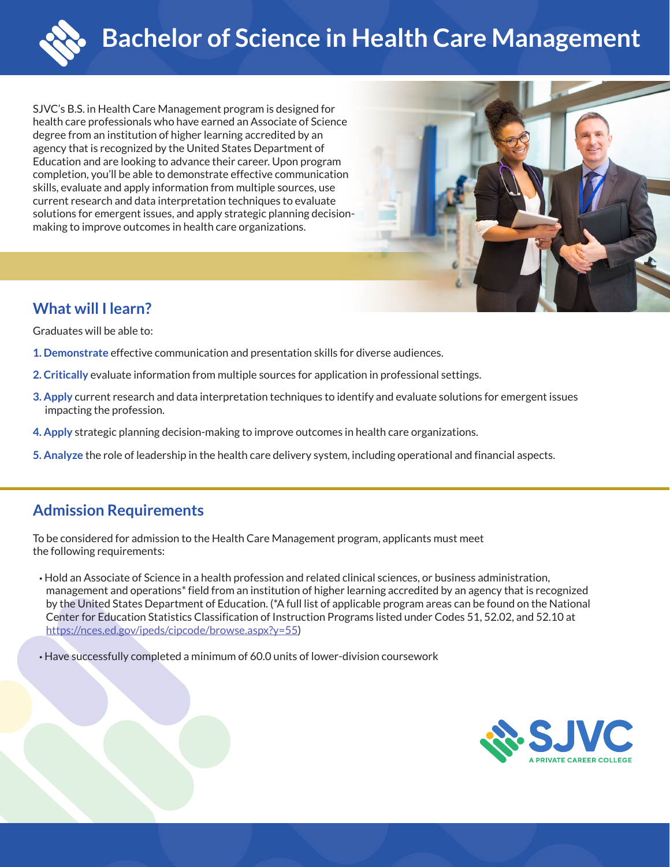

SJVC's B.S. in Health Care Management program is designed for health care professionals who have earned an Associate of Science degree from an institution of higher learning accredited by an agency that is recognized by the United States Department of Education and are looking to advance their career. Upon program completion, you'll be able to demonstrate effective communication skills, evaluate and apply information from multiple sources, use current research and data interpretation techniques to evaluate solutions for emergent issues, and apply strategic planning decisionmaking to improve outcomes in health care organizations.



# **What will I learn?**

Graduates will be able to:

- **1. Demonstrate** effective communication and presentation skills for diverse audiences.
- **2. Critically** evaluate information from multiple sources for application in professional settings.
- **3. Apply** current research and data interpretation techniques to identify and evaluate solutions for emergent issues impacting the profession.
- **4. Apply** strategic planning decision-making to improve outcomes in health care organizations.
- **5. Analyze** the role of leadership in the health care delivery system, including operational and financial aspects.

# **Admission Requirements**

To be considered for admission to the Health Care Management program, applicants must meet the following requirements:

- Hold an Associate of Science in a health profession and related clinical sciences, or business administration, management and operations\* field from an institution of higher learning accredited by an agency that is recognized by the United States Department of Education. (\*A full list of applicable program areas can be found on the National Center for Education Statistics Classification of Instruction Programs listed under Codes 51, 52.02, and 52.10 at https://nces.ed.gov/ipeds/cipcode/browse.aspx?y=55)
- Have successfully completed a minimum of 60.0 units of lower-division coursework